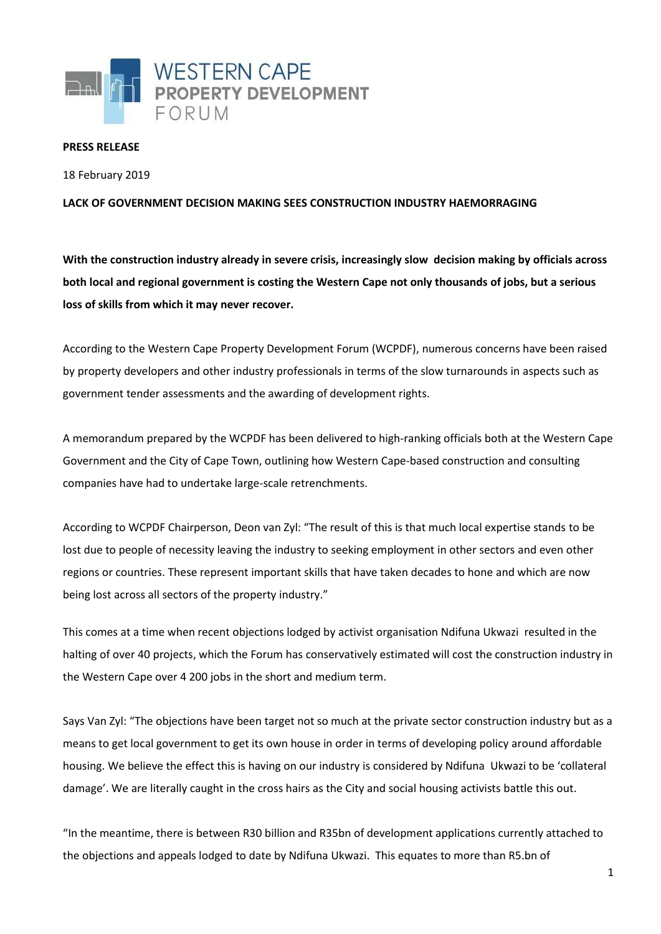

## **PRESS RELEASE**

18 February 2019

## **LACK OF GOVERNMENT DECISION MAKING SEES CONSTRUCTION INDUSTRY HAEMORRAGING**

**With the construction industry already in severe crisis, increasingly slow decision making by officials across both local and regional government is costing the Western Cape not only thousands of jobs, but a serious loss of skills from which it may never recover.**

According to the Western Cape Property Development Forum (WCPDF), numerous concerns have been raised by property developers and other industry professionals in terms of the slow turnarounds in aspects such as government tender assessments and the awarding of development rights.

A memorandum prepared by the WCPDF has been delivered to high-ranking officials both at the Western Cape Government and the City of Cape Town, outlining how Western Cape-based construction and consulting companies have had to undertake large-scale retrenchments.

According to WCPDF Chairperson, Deon van Zyl: "The result of this is that much local expertise stands to be lost due to people of necessity leaving the industry to seeking employment in other sectors and even other regions or countries. These represent important skills that have taken decades to hone and which are now being lost across all sectors of the property industry."

This comes at a time when recent objections lodged by activist organisation Ndifuna Ukwazi resulted in the halting of over 40 projects, which the Forum has conservatively estimated will cost the construction industry in the Western Cape over 4 200 jobs in the short and medium term.

Says Van Zyl: "The objections have been target not so much at the private sector construction industry but as a means to get local government to get its own house in order in terms of developing policy around affordable housing. We believe the effect this is having on our industry is considered by Ndifuna Ukwazi to be 'collateral damage'. We are literally caught in the cross hairs as the City and social housing activists battle this out.

"In the meantime, there is between R30 billion and R35bn of development applications currently attached to the objections and appeals lodged to date by Ndifuna Ukwazi. This equates to more than R5.bn of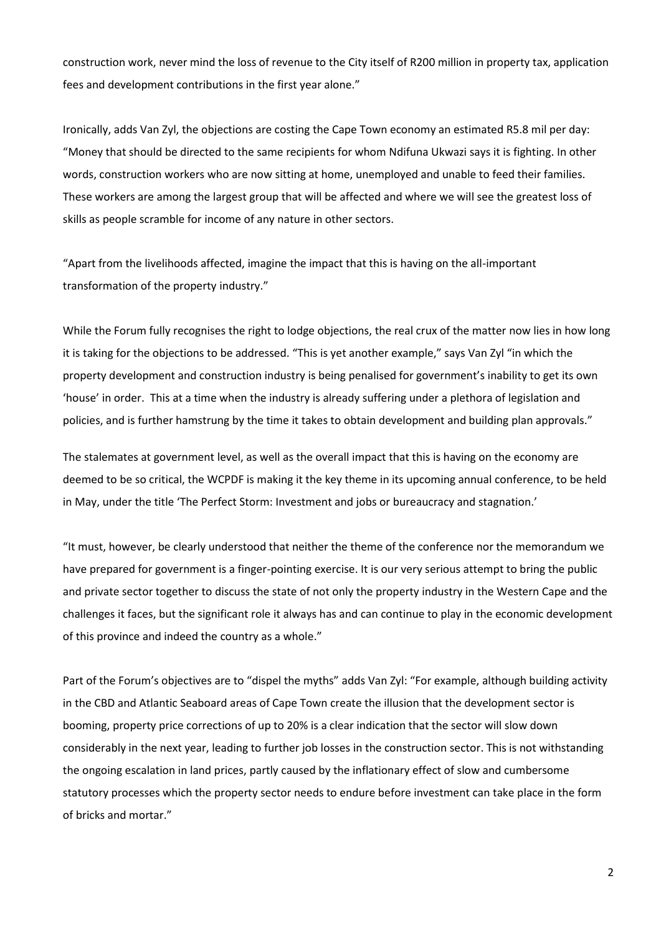construction work, never mind the loss of revenue to the City itself of R200 million in property tax, application fees and development contributions in the first year alone."

Ironically, adds Van Zyl, the objections are costing the Cape Town economy an estimated R5.8 mil per day: "Money that should be directed to the same recipients for whom Ndifuna Ukwazi says it is fighting. In other words, construction workers who are now sitting at home, unemployed and unable to feed their families. These workers are among the largest group that will be affected and where we will see the greatest loss of skills as people scramble for income of any nature in other sectors.

"Apart from the livelihoods affected, imagine the impact that this is having on the all-important transformation of the property industry."

While the Forum fully recognises the right to lodge objections, the real crux of the matter now lies in how long it is taking for the objections to be addressed. "This is yet another example," says Van Zyl "in which the property development and construction industry is being penalised for government's inability to get its own 'house' in order. This at a time when the industry is already suffering under a plethora of legislation and policies, and is further hamstrung by the time it takes to obtain development and building plan approvals."

The stalemates at government level, as well as the overall impact that this is having on the economy are deemed to be so critical, the WCPDF is making it the key theme in its upcoming annual conference, to be held in May, under the title 'The Perfect Storm: Investment and jobs or bureaucracy and stagnation.'

"It must, however, be clearly understood that neither the theme of the conference nor the memorandum we have prepared for government is a finger-pointing exercise. It is our very serious attempt to bring the public and private sector together to discuss the state of not only the property industry in the Western Cape and the challenges it faces, but the significant role it always has and can continue to play in the economic development of this province and indeed the country as a whole."

Part of the Forum's objectives are to "dispel the myths" adds Van Zyl: "For example, although building activity in the CBD and Atlantic Seaboard areas of Cape Town create the illusion that the development sector is booming, property price corrections of up to 20% is a clear indication that the sector will slow down considerably in the next year, leading to further job losses in the construction sector. This is not withstanding the ongoing escalation in land prices, partly caused by the inflationary effect of slow and cumbersome statutory processes which the property sector needs to endure before investment can take place in the form of bricks and mortar."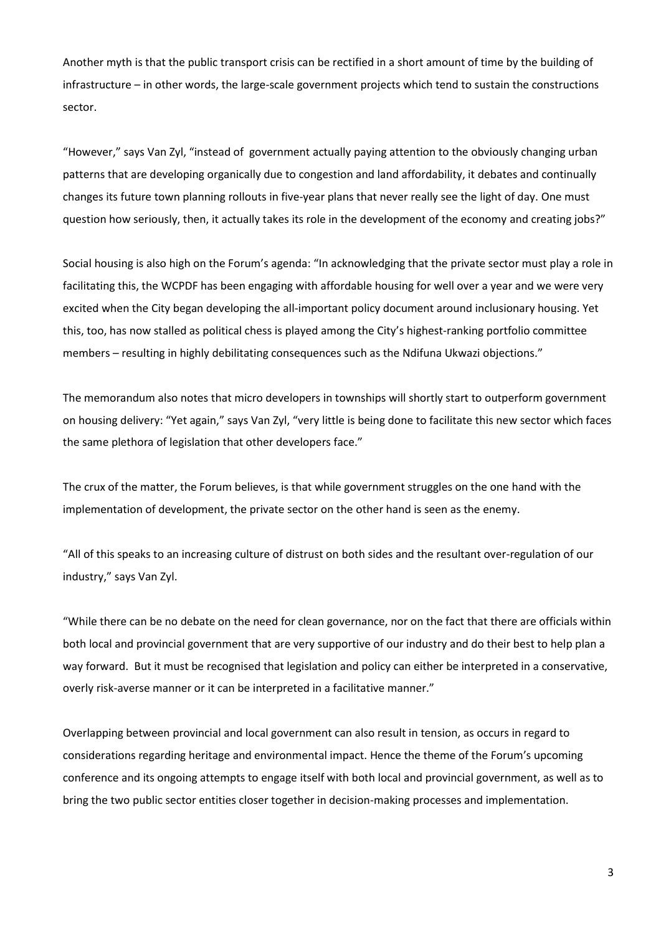Another myth is that the public transport crisis can be rectified in a short amount of time by the building of infrastructure – in other words, the large-scale government projects which tend to sustain the constructions sector.

"However," says Van Zyl, "instead of government actually paying attention to the obviously changing urban patterns that are developing organically due to congestion and land affordability, it debates and continually changes its future town planning rollouts in five-year plans that never really see the light of day. One must question how seriously, then, it actually takes its role in the development of the economy and creating jobs?"

Social housing is also high on the Forum's agenda: "In acknowledging that the private sector must play a role in facilitating this, the WCPDF has been engaging with affordable housing for well over a year and we were very excited when the City began developing the all-important policy document around inclusionary housing. Yet this, too, has now stalled as political chess is played among the City's highest-ranking portfolio committee members – resulting in highly debilitating consequences such as the Ndifuna Ukwazi objections."

The memorandum also notes that micro developers in townships will shortly start to outperform government on housing delivery: "Yet again," says Van Zyl, "very little is being done to facilitate this new sector which faces the same plethora of legislation that other developers face."

The crux of the matter, the Forum believes, is that while government struggles on the one hand with the implementation of development, the private sector on the other hand is seen as the enemy.

"All of this speaks to an increasing culture of distrust on both sides and the resultant over-regulation of our industry," says Van Zyl.

"While there can be no debate on the need for clean governance, nor on the fact that there are officials within both local and provincial government that are very supportive of our industry and do their best to help plan a way forward. But it must be recognised that legislation and policy can either be interpreted in a conservative, overly risk-averse manner or it can be interpreted in a facilitative manner."

Overlapping between provincial and local government can also result in tension, as occurs in regard to considerations regarding heritage and environmental impact. Hence the theme of the Forum's upcoming conference and its ongoing attempts to engage itself with both local and provincial government, as well as to bring the two public sector entities closer together in decision-making processes and implementation.